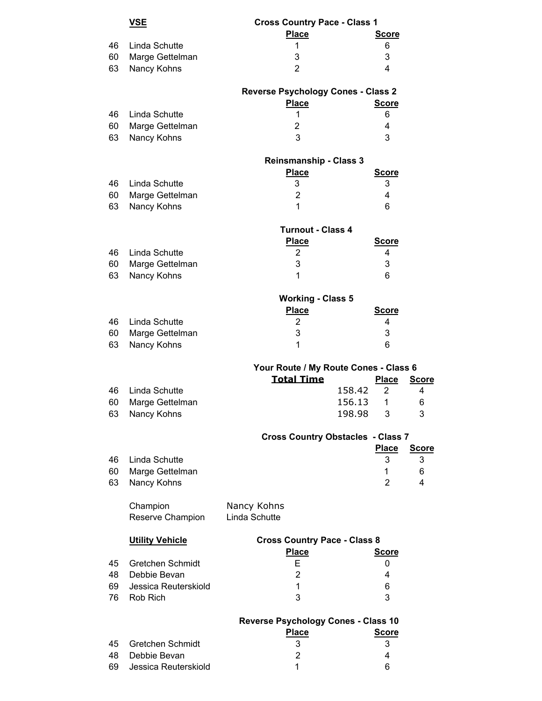|    | <u>VSE</u>              | <b>Cross Country Pace - Class 1</b>                        |        |                   |              |
|----|-------------------------|------------------------------------------------------------|--------|-------------------|--------------|
|    |                         | <b>Place</b>                                               |        | <b>Score</b>      |              |
| 46 | Linda Schutte           | 1                                                          |        | 6                 |              |
| 60 | Marge Gettelman         | 3                                                          |        | 3                 |              |
| 63 | Nancy Kohns             | $\overline{2}$                                             |        | 4                 |              |
|    |                         |                                                            |        |                   |              |
|    |                         | <b>Reverse Psychology Cones - Class 2</b>                  |        |                   |              |
|    |                         | <b>Place</b>                                               |        | <b>Score</b>      |              |
| 46 | Linda Schutte           | 1                                                          |        | 6                 |              |
| 60 | Marge Gettelman         | $\overline{2}$                                             |        | 4                 |              |
| 63 | Nancy Kohns             | 3                                                          |        | 3                 |              |
|    |                         |                                                            |        |                   |              |
|    |                         | <b>Reinsmanship - Class 3</b>                              |        |                   |              |
|    |                         | <b>Place</b>                                               |        | <b>Score</b>      |              |
| 46 | Linda Schutte           | 3                                                          |        | 3                 |              |
| 60 | Marge Gettelman         | $\overline{2}$                                             |        | 4                 |              |
| 63 | Nancy Kohns             | 1                                                          |        | 6                 |              |
|    |                         |                                                            |        |                   |              |
|    |                         | <b>Turnout - Class 4</b>                                   |        |                   |              |
|    |                         | <b>Place</b>                                               |        | <b>Score</b>      |              |
| 46 | Linda Schutte           | 2                                                          |        | 4                 |              |
| 60 | Marge Gettelman         | 3                                                          |        | 3                 |              |
| 63 | Nancy Kohns             | 1                                                          |        | 6                 |              |
|    |                         |                                                            |        |                   |              |
|    |                         | <b>Working - Class 5</b>                                   |        |                   |              |
|    |                         | <b>Place</b>                                               |        | <b>Score</b>      |              |
| 46 | Linda Schutte           | $\overline{2}$                                             |        | 4                 |              |
| 60 | Marge Gettelman         | 3                                                          |        | 3                 |              |
| 63 | Nancy Kohns             | 1                                                          |        | 6                 |              |
|    |                         |                                                            |        |                   |              |
|    |                         | Your Route / My Route Cones - Class 6<br><b>Total Time</b> |        | <b>Place</b>      |              |
|    |                         |                                                            |        |                   | <b>Score</b> |
| 46 | Linda Schutte           |                                                            | 158.42 | $\overline{2}$    | 4            |
| 60 | Marge Gettelman         |                                                            | 156.13 | 1                 | 6            |
| 63 | Nancy Kohns             |                                                            | 198.98 | 3                 | 3            |
|    |                         | <b>Cross Country Obstacles - Class 7</b>                   |        |                   |              |
|    |                         |                                                            |        | <b>Place</b>      | <b>Score</b> |
| 46 | Linda Schutte           |                                                            |        | 3                 | 3            |
| 60 | Marge Gettelman         |                                                            |        | 1                 | 6            |
| 63 | Nancy Kohns             |                                                            |        | $\overline{2}$    | 4            |
|    |                         |                                                            |        |                   |              |
|    | Champion                | Nancy Kohns                                                |        |                   |              |
|    | Reserve Champion        | Linda Schutte                                              |        |                   |              |
|    |                         |                                                            |        |                   |              |
|    | <b>Utility Vehicle</b>  | <b>Cross Country Pace - Class 8</b>                        |        |                   |              |
|    |                         | <b>Place</b>                                               |        | <b>Score</b>      |              |
| 45 | <b>Gretchen Schmidt</b> | Е                                                          |        | 0                 |              |
| 48 | Debbie Bevan            | 2                                                          |        | 4                 |              |
| 69 | Jessica Reuterskiold    | 1                                                          |        | 6                 |              |
| 76 | Rob Rich                | 3                                                          |        | 3                 |              |
|    |                         |                                                            |        |                   |              |
|    |                         | <b>Reverse Psychology Cones - Class 10</b>                 |        |                   |              |
| 45 | <b>Gretchen Schmidt</b> | <b>Place</b><br>3                                          |        | <b>Score</b><br>3 |              |
| 48 | Debbie Bevan            | 2                                                          |        | 4                 |              |
| 69 | Jessica Reuterskiold    | 1                                                          |        | 6                 |              |
|    |                         |                                                            |        |                   |              |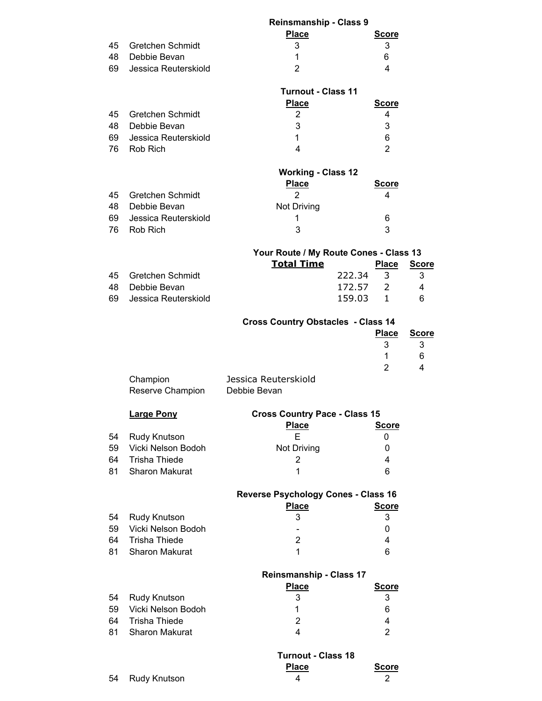|    |                         | <b>Reinsmanship - Class 9</b>              |                        |              |
|----|-------------------------|--------------------------------------------|------------------------|--------------|
|    |                         | <b>Place</b>                               | <b>Score</b>           |              |
| 45 | <b>Gretchen Schmidt</b> | 3                                          | 3                      |              |
| 48 | Debbie Bevan            | $\mathbf 1$                                | 6                      |              |
| 69 | Jessica Reuterskiold    | $\overline{2}$                             | 4                      |              |
|    |                         |                                            |                        |              |
|    |                         | <b>Turnout - Class 11</b>                  |                        |              |
|    |                         |                                            |                        |              |
|    |                         | <b>Place</b>                               | <b>Score</b>           |              |
| 45 | <b>Gretchen Schmidt</b> | $\overline{2}$                             | 4                      |              |
| 48 | Debbie Bevan            | 3                                          | 3                      |              |
| 69 | Jessica Reuterskiold    | 1                                          | 6                      |              |
| 76 | Rob Rich                | 4                                          | $\overline{2}$         |              |
|    |                         |                                            |                        |              |
|    |                         | <b>Working - Class 12</b>                  |                        |              |
|    |                         | <b>Place</b>                               | <b>Score</b>           |              |
| 45 | <b>Gretchen Schmidt</b> | $\overline{2}$                             | 4                      |              |
| 48 | Debbie Bevan            | Not Driving                                |                        |              |
| 69 | Jessica Reuterskiold    | 1                                          | 6                      |              |
| 76 | Rob Rich                | 3                                          | 3                      |              |
|    |                         |                                            |                        |              |
|    |                         |                                            |                        |              |
|    |                         | Your Route / My Route Cones - Class 13     |                        |              |
|    |                         | <b>Total Time</b>                          | <b>Place</b>           | <b>Score</b> |
| 45 | <b>Gretchen Schmidt</b> |                                            | 222.34<br>3            | 3            |
| 48 | Debbie Bevan            |                                            | 172.57<br>$2 -$        | 4            |
| 69 | Jessica Reuterskiold    |                                            | 159.03<br>$\mathbf{1}$ | 6            |
|    |                         |                                            |                        |              |
|    |                         | <b>Cross Country Obstacles - Class 14</b>  |                        |              |
|    |                         |                                            | <b>Place</b>           | <b>Score</b> |
|    |                         |                                            | 3                      | 3            |
|    |                         |                                            | 1                      | 6            |
|    |                         |                                            | $\overline{2}$         | 4            |
|    |                         | Jessica Reuterskiold                       |                        |              |
|    | Champion                |                                            |                        |              |
|    | Reserve Champion        | Debbie Bevan                               |                        |              |
|    |                         |                                            |                        |              |
|    | <b>Large Pony</b>       | <b>Cross Country Pace - Class 15</b>       |                        |              |
|    |                         | <b>Place</b>                               | <b>Score</b>           |              |
| 54 | Rudy Knutson            | Е                                          | 0                      |              |
| 59 | Vicki Nelson Bodoh      | Not Driving                                | 0                      |              |
| 64 | <b>Trisha Thiede</b>    | 2                                          | 4                      |              |
| 81 | <b>Sharon Makurat</b>   | 1                                          | 6                      |              |
|    |                         |                                            |                        |              |
|    |                         | <b>Reverse Psychology Cones - Class 16</b> |                        |              |
|    |                         | <b>Place</b>                               | <b>Score</b>           |              |
| 54 | Rudy Knutson            | 3                                          | 3                      |              |
|    | Vicki Nelson Bodoh      |                                            |                        |              |
| 59 |                         |                                            | 0                      |              |
| 64 | <b>Trisha Thiede</b>    | $\overline{2}$                             | 4                      |              |
| 81 | Sharon Makurat          | 1                                          | 6                      |              |
|    |                         |                                            |                        |              |
|    |                         | <b>Reinsmanship - Class 17</b>             |                        |              |
|    |                         | <b>Place</b>                               | <b>Score</b>           |              |
| 54 | Rudy Knutson            | 3                                          | 3                      |              |
| 59 | Vicki Nelson Bodoh      | 1                                          | 6                      |              |
| 64 | <b>Trisha Thiede</b>    | $\overline{2}$                             | 4                      |              |
| 81 | Sharon Makurat          | $\overline{4}$                             | $\overline{2}$         |              |
|    |                         |                                            |                        |              |
|    |                         | <b>Turnout - Class 18</b>                  |                        |              |
|    |                         |                                            |                        |              |
|    |                         |                                            |                        |              |
| 54 | Rudy Knutson            | <b>Place</b><br>4                          | <b>Score</b><br>2      |              |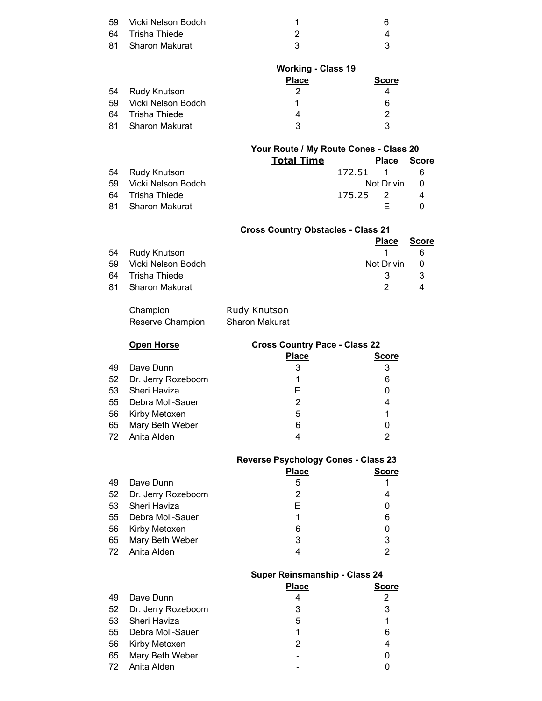| 59 Vicki Nelson Bodoh |  |
|-----------------------|--|
| 64 Trisha Thiede      |  |
| 81 Sharon Makurat     |  |

|                       | <b>Working - Class 19</b> |              |  |
|-----------------------|---------------------------|--------------|--|
|                       | <b>Place</b>              | <b>Score</b> |  |
| 54 Rudy Knutson       | 2                         |              |  |
| 59 Vicki Nelson Bodoh |                           | 6            |  |
| 64 Trisha Thiede      | 4                         |              |  |
| 81 Sharon Makurat     | ર                         |              |  |

|                       | Your Route / My Route Cones - Class 20 |          |              |              |
|-----------------------|----------------------------------------|----------|--------------|--------------|
|                       | <b>Total Time</b>                      |          | <b>Place</b> | <b>Score</b> |
| 54 Rudy Knutson       |                                        | 172.51 1 |              | -6           |
| 59 Vicki Nelson Bodoh |                                        |          | Not Drivin   | - 0          |
| 64 Trisha Thiede      |                                        | 175.25 2 |              | 4            |
| 81 Sharon Makurat     |                                        |          |              |              |

|     |                    | <b>Cross Country Obstacles - Class 21</b> |              |
|-----|--------------------|-------------------------------------------|--------------|
|     |                    | <b>Place</b>                              | <b>Score</b> |
| 54  | Rudy Knutson       |                                           | հ            |
| 59  | Vicki Nelson Bodoh | Not Drivin                                | - 0          |
| 64  | Trisha Thiede      | 3                                         | 3            |
| -81 | Sharon Makurat     |                                           |              |

| Champion         | Rudy Knutson          |
|------------------|-----------------------|
| Reserve Champion | <b>Sharon Makurat</b> |

|    | <b>Open Horse</b>     | <b>Cross Country Pace - Class 22</b> |              |
|----|-----------------------|--------------------------------------|--------------|
|    |                       | <b>Place</b>                         | <b>Score</b> |
| 49 | Dave Dunn             | 3                                    | 3            |
|    | 52 Dr. Jerry Rozeboom |                                      | 6            |
|    | 53 Sheri Haviza       | F                                    | 0            |
|    | 55 Debra Moll-Sauer   | 2                                    | 4            |
|    | 56 Kirby Metoxen      | 5                                    |              |
|    | 65 Mary Beth Weber    | 6                                    |              |
|    | 72 Anita Alden        |                                      | າ            |

|  | <b>Reverse Psychology Cones - Class 23</b> |  |  |  |
|--|--------------------------------------------|--|--|--|
|--|--------------------------------------------|--|--|--|

|    |                       | <b>Place</b> | Score |
|----|-----------------------|--------------|-------|
| 49 | Dave Dunn             | 5            |       |
|    | 52 Dr. Jerry Rozeboom | 2            |       |
|    | 53 Sheri Haviza       | F            |       |
|    | 55 Debra Moll-Sauer   | 1            | 6     |
|    | 56 Kirby Metoxen      | 6            |       |
|    | 65 Mary Beth Weber    | 3            | 3     |
|    | 72 Anita Alden        |              |       |
|    |                       |              |       |

|    |                       | <b>Super Reinsmanship - Class 24</b> |              |
|----|-----------------------|--------------------------------------|--------------|
|    |                       | <b>Place</b>                         | <b>Score</b> |
| 49 | Dave Dunn             | 4                                    | 2            |
|    | 52 Dr. Jerry Rozeboom | 3                                    | 3            |
| 53 | Sheri Haviza          | 5                                    |              |
|    | 55 Debra Moll-Sauer   |                                      | 6            |
|    | 56 Kirby Metoxen      | 2                                    | 4            |
|    | 65 Mary Beth Weber    |                                      | 0            |
|    | 72 Anita Alden        |                                      |              |
|    |                       |                                      |              |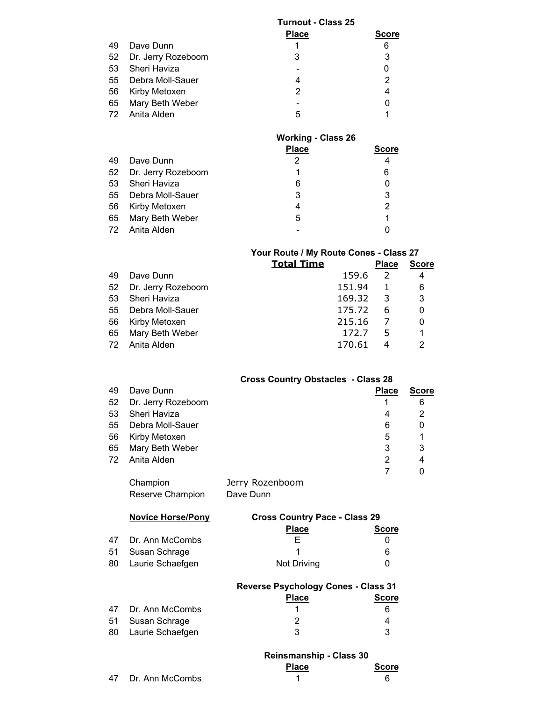|    |                       | <b>Turnout - Class 25</b> |       |  |
|----|-----------------------|---------------------------|-------|--|
|    |                       | <b>Place</b>              | Score |  |
| 49 | Dave Dunn             |                           | 6     |  |
|    | 52 Dr. Jerry Rozeboom | 3                         | 3     |  |
|    | 53 Sheri Haviza       |                           |       |  |
|    | 55 Debra Moll-Sauer   | 4                         | 2     |  |
|    | 56 Kirby Metoxen      | 2                         | 4     |  |
|    | 65 Mary Beth Weber    |                           |       |  |
|    | 72 Anita Alden        | 5                         |       |  |
|    |                       |                           |       |  |

|    |                       | <b>Working - Class 26</b> |                |
|----|-----------------------|---------------------------|----------------|
|    |                       | <b>Place</b>              | <b>Score</b>   |
| 49 | Dave Dunn             | 2                         | 4              |
|    | 52 Dr. Jerry Rozeboom |                           | 6              |
| 53 | Sheri Haviza          | 6                         | 0              |
|    | 55 Debra Moll-Sauer   | 3                         | 3              |
| 56 | Kirby Metoxen         | 4                         | $\overline{2}$ |
|    | 65 Mary Beth Weber    | 5                         |                |
|    | 72 Anita Alden        |                           |                |

### **Your Route / My Route Cones - Class 27**

|    |                       | <b>Total Time</b> |        | <b>Place</b> | <b>Score</b> |
|----|-----------------------|-------------------|--------|--------------|--------------|
| 49 | Dave Dunn             |                   | 159.6  | 2            | 4            |
|    | 52 Dr. Jerry Rozeboom |                   | 151.94 | 1            | 6            |
| 53 | Sheri Haviza          |                   | 169.32 | -3           | 3            |
| 55 | Debra Moll-Sauer      |                   | 175.72 | 6            | 0            |
| 56 | Kirby Metoxen         |                   | 215.16 |              | 0            |
| 65 | Mary Beth Weber       |                   | 172.7  | 5            | 1            |
|    | 72 Anita Alden        |                   | 170.61 |              | 2            |
|    |                       |                   |        |              |              |

### **Cross Country Obstacles - Class 28**

| 49 | Dave Dunn             |                 | <b>Place</b> | <b>Score</b> |
|----|-----------------------|-----------------|--------------|--------------|
|    | 52 Dr. Jerry Rozeboom |                 |              | 6            |
| 53 | Sheri Haviza          |                 | 4            | 2            |
| 55 | Debra Moll-Sauer      |                 | 6            | 0            |
| 56 | Kirby Metoxen         |                 | 5            | 1            |
| 65 | Mary Beth Weber       |                 | 3            | 3            |
|    | 72 Anita Alden        |                 | 2            | 4            |
|    |                       |                 |              |              |
|    | Champion              | Jorry Dozonhoom |              |              |

Champion Jerry Rozenboom Reserve Champion Dave Dunn

| <b>Novice Horse/Pony</b> | <b>Cross Country Pace - Class 29</b> |              |  |
|--------------------------|--------------------------------------|--------------|--|
|                          | <b>Place</b>                         | <b>Score</b> |  |
| 47 Dr. Ann McCombs       |                                      |              |  |
| 51 Susan Schrage         |                                      | 6            |  |
| 80 Laurie Schaefgen      | Not Driving                          |              |  |

|                     | <b>Reverse Psychology Cones - Class 31</b> |              |
|---------------------|--------------------------------------------|--------------|
|                     | <b>Place</b>                               | <b>Score</b> |
| 47 Dr. Ann McCombs  |                                            | 6            |
| 51 Susan Schrage    |                                            |              |
| 80 Laurie Schaefgen | 3                                          |              |

|    |                 | <b>Reinsmanship - Class 30</b> |              |
|----|-----------------|--------------------------------|--------------|
|    |                 | <b>Place</b>                   | <b>Score</b> |
| 47 | Dr. Ann McCombs |                                |              |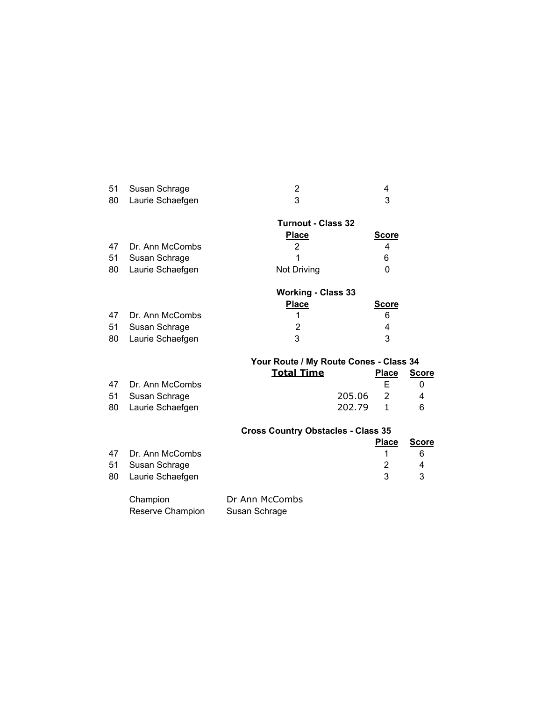| 51 Susan Schrage    |  |
|---------------------|--|
| 80 Laurie Schaefgen |  |

|    |                    | <b>Turnout - Class 32</b> |              |
|----|--------------------|---------------------------|--------------|
|    |                    | <b>Place</b>              | <b>Score</b> |
|    | 47 Dr. Ann McCombs | 2                         | 4            |
| 51 | Susan Schrage      |                           | 6            |
| 80 | Laurie Schaefgen   | Not Driving               |              |
|    |                    | <b>Working - Class 33</b> |              |
|    |                    | <b>Place</b>              | <b>Score</b> |
| 17 | $Dr$ Ann McCombo   |                           | ີ            |

| 47 Dr. Ann McCombs<br>51 Susan Schrage<br>80 Laurie Schaefgen |  |
|---------------------------------------------------------------|--|

## **Your Route / My Route Cones - Class 34**

|                     | <b>Total Time</b> |          | Place | Score |
|---------------------|-------------------|----------|-------|-------|
| 47 Dr. Ann McCombs  |                   |          |       |       |
| 51 Susan Schrage    |                   | 205.06 2 |       | 4     |
| 80 Laurie Schaefgen |                   | 202.79 1 |       | 6     |

## **Cross Country Obstacles - Class 35**

|                     | <b>Place</b> | <b>Score</b> |
|---------------------|--------------|--------------|
| 47 Dr. Ann McCombs  |              |              |
| 51 Susan Schrage    |              |              |
| 80 Laurie Schaefgen | - 3-         | - 3-         |
|                     |              |              |

| Champion         | Dr Ann McCombs |
|------------------|----------------|
| Reserve Champion | Susan Schrage  |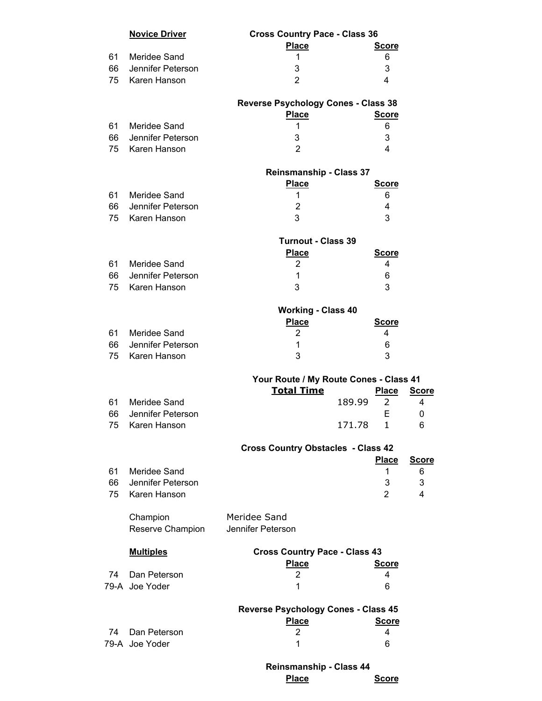|    | <b>Novice Driver</b> | <b>Cross Country Pace - Class 36</b>       |        |              |              |
|----|----------------------|--------------------------------------------|--------|--------------|--------------|
|    |                      | <b>Place</b>                               |        | <b>Score</b> |              |
| 61 | Meridee Sand         | 1                                          |        | 6            |              |
| 66 | Jennifer Peterson    | 3                                          |        | 3            |              |
| 75 | Karen Hanson         | $\overline{2}$                             |        | 4            |              |
|    |                      | <b>Reverse Psychology Cones - Class 38</b> |        |              |              |
|    |                      | <b>Place</b>                               |        | <b>Score</b> |              |
| 61 | Meridee Sand         | 1                                          |        | 6            |              |
| 66 | Jennifer Peterson    | 3                                          |        | 3            |              |
| 75 | Karen Hanson         | $\overline{2}$                             |        | 4            |              |
|    |                      | <b>Reinsmanship - Class 37</b>             |        |              |              |
|    |                      | <b>Place</b>                               |        | <b>Score</b> |              |
| 61 | Meridee Sand         | 1                                          |        | 6            |              |
| 66 | Jennifer Peterson    | $\overline{2}$                             |        | 4            |              |
| 75 | Karen Hanson         | 3                                          |        | 3            |              |
|    |                      | <b>Turnout - Class 39</b>                  |        |              |              |
|    |                      | <b>Place</b>                               |        | <b>Score</b> |              |
| 61 | Meridee Sand         | 2                                          |        | 4            |              |
| 66 | Jennifer Peterson    | $\mathbf{1}$                               |        | 6            |              |
| 75 | Karen Hanson         | 3                                          |        | 3            |              |
|    |                      | <b>Working - Class 40</b>                  |        |              |              |
|    |                      | <b>Place</b>                               |        | <b>Score</b> |              |
|    | 61 Meridee Sand      | 2                                          |        | 4            |              |
| 66 | Jennifer Peterson    | 1                                          |        | 6            |              |
| 75 | Karen Hanson         | 3                                          |        | 3            |              |
|    |                      |                                            |        |              |              |
|    |                      | Your Route / My Route Cones - Class 41     |        |              |              |
|    |                      | <b>Total Time</b>                          |        | <b>Place</b> | <b>Score</b> |
| 61 | Meridee Sand         |                                            | 189.99 | 2            | 4            |
| 66 | Jennifer Peterson    |                                            |        | E            | 0            |
| 75 | Karen Hanson         |                                            | 171.78 | $\mathbf{1}$ | 6            |
|    |                      | <b>Cross Country Obstacles - Class 42</b>  |        |              |              |
|    |                      |                                            |        | <b>Place</b> | <b>Score</b> |
| 61 | Meridee Sand         |                                            |        | 1            | 6            |
| 66 | Jennifer Peterson    |                                            |        | 3            | 3            |
| 75 | Karen Hanson         |                                            |        | 2            | 4            |
|    | Champion             | Meridee Sand                               |        |              |              |
|    | Reserve Champion     | Jennifer Peterson                          |        |              |              |
|    | <b>Multiples</b>     | <b>Cross Country Pace - Class 43</b>       |        |              |              |
|    |                      | <b>Place</b>                               |        | <b>Score</b> |              |
| 74 | Dan Peterson         | 2                                          |        | 4            |              |
|    | 79-A Joe Yoder       | 1                                          |        | 6            |              |
|    |                      | <b>Reverse Psychology Cones - Class 45</b> |        |              |              |
|    |                      | <b>Place</b>                               |        | <b>Score</b> |              |
| 74 | Dan Peterson         | 2                                          |        | 4            |              |
|    | 79-A Joe Yoder       | 1                                          |        | 6            |              |
|    |                      | <b>Reinsmanship - Class 44</b>             |        |              |              |
|    |                      | <b>Place</b>                               |        | <b>Score</b> |              |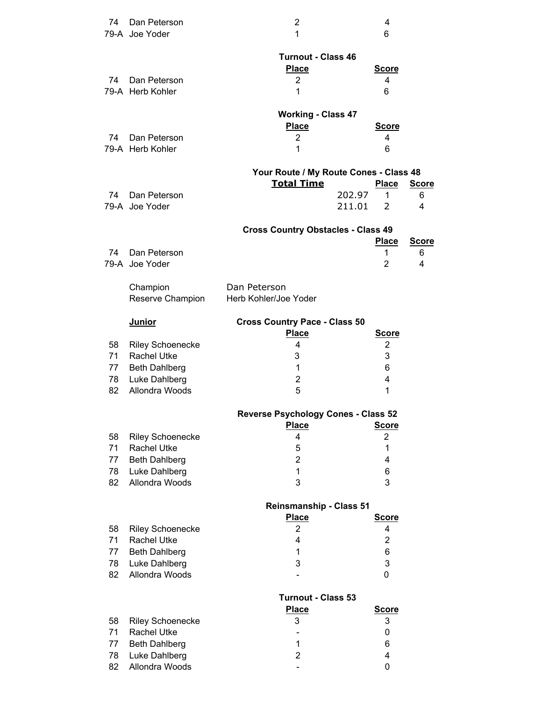| 74       | Dan Peterson                               | $\overline{2}$                                              |        | 4                 |              |
|----------|--------------------------------------------|-------------------------------------------------------------|--------|-------------------|--------------|
|          | 79-A Joe Yoder                             | 1                                                           |        | 6                 |              |
|          |                                            | <b>Turnout - Class 46</b>                                   |        |                   |              |
|          |                                            | <b>Place</b>                                                |        | <b>Score</b>      |              |
| 74       | Dan Peterson                               | $\overline{c}$                                              |        | 4                 |              |
|          | 79-A Herb Kohler                           | 1                                                           |        | 6                 |              |
|          |                                            |                                                             |        |                   |              |
|          |                                            | <b>Working - Class 47</b><br><b>Place</b>                   |        | <b>Score</b>      |              |
| 74       | Dan Peterson                               | 2                                                           |        | 4                 |              |
|          | 79-A Herb Kohler                           | 1                                                           |        | 6                 |              |
|          |                                            |                                                             |        |                   |              |
|          |                                            | Your Route / My Route Cones - Class 48<br><b>Total Time</b> |        | <b>Place</b>      | <b>Score</b> |
| 74       | Dan Peterson                               |                                                             | 202.97 | 1                 | 6            |
|          | 79-A Joe Yoder                             |                                                             | 211.01 | $\mathcal{P}$     | 4            |
|          |                                            |                                                             |        |                   |              |
|          |                                            | <b>Cross Country Obstacles - Class 49</b>                   |        | <b>Place</b>      | <b>Score</b> |
| 74       | Dan Peterson                               |                                                             |        | 1                 | 6            |
|          | 79-A Joe Yoder                             |                                                             |        | 2                 | 4            |
|          |                                            |                                                             |        |                   |              |
|          | Champion<br>Reserve Champion               | Dan Peterson<br>Herb Kohler/Joe Yoder                       |        |                   |              |
|          |                                            |                                                             |        |                   |              |
|          | <b>Junior</b>                              | <b>Cross Country Pace - Class 50</b>                        |        |                   |              |
|          |                                            | <b>Place</b>                                                |        | <b>Score</b>      |              |
| 58<br>71 | <b>Riley Schoenecke</b>                    | 4                                                           |        | 2<br>3            |              |
| 77       | <b>Rachel Utke</b><br><b>Beth Dahlberg</b> | 3<br>$\mathbf{1}$                                           |        | 6                 |              |
| 78       | Luke Dahlberg                              | $\overline{2}$                                              |        | 4                 |              |
| 82       | Allondra Woods                             | 5                                                           |        | 1                 |              |
|          |                                            |                                                             |        |                   |              |
|          |                                            | Reverse Psychology Cones - Class 52<br><b>Place</b>         |        | <b>Score</b>      |              |
| 58       | <b>Riley Schoenecke</b>                    | 4                                                           |        | $\overline{2}$    |              |
| 71       | <b>Rachel Utke</b>                         | 5                                                           |        | $\mathbf 1$       |              |
| 77       | <b>Beth Dahlberg</b>                       | $\overline{2}$                                              |        | 4                 |              |
| 78       | Luke Dahlberg                              | 1                                                           |        | 6                 |              |
| 82       | Allondra Woods                             | 3                                                           |        | 3                 |              |
|          |                                            | <b>Reinsmanship - Class 51</b>                              |        |                   |              |
|          |                                            | <b>Place</b>                                                |        | <b>Score</b>      |              |
| 58       | <b>Riley Schoenecke</b>                    | $\overline{2}$                                              |        | 4                 |              |
| 71       | <b>Rachel Utke</b>                         | 4                                                           |        | $\overline{2}$    |              |
| 77<br>78 | <b>Beth Dahlberg</b><br>Luke Dahlberg      | 1<br>3                                                      |        | $\,6$<br>3        |              |
| 82       | Allondra Woods                             |                                                             |        | 0                 |              |
|          |                                            |                                                             |        |                   |              |
|          |                                            | <b>Turnout - Class 53</b>                                   |        |                   |              |
| 58       | <b>Riley Schoenecke</b>                    | <b>Place</b><br>3                                           |        | <b>Score</b><br>3 |              |
| 71       | <b>Rachel Utke</b>                         |                                                             |        | 0                 |              |
| 77       | <b>Beth Dahlberg</b>                       | 1                                                           |        | 6                 |              |
| 78       | Luke Dahlberg                              | $\overline{2}$                                              |        | 4                 |              |
| 82       | Allondra Woods                             |                                                             |        | 0                 |              |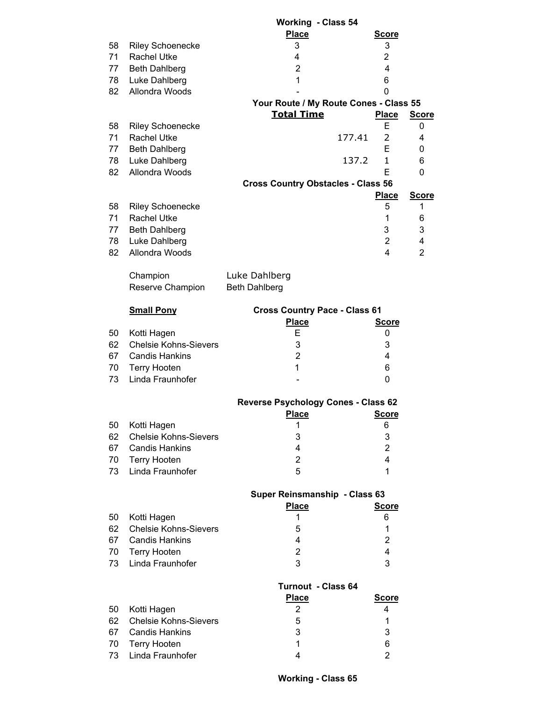|    |                              | <b>Working - Class 54</b>                  |                |                |
|----|------------------------------|--------------------------------------------|----------------|----------------|
|    |                              | <b>Place</b>                               | <b>Score</b>   |                |
| 58 | <b>Riley Schoenecke</b>      | 3                                          | 3              |                |
| 71 | <b>Rachel Utke</b>           | 4                                          | $\overline{2}$ |                |
| 77 | <b>Beth Dahlberg</b>         | $\overline{2}$                             | 4              |                |
|    |                              |                                            |                |                |
| 78 | Luke Dahlberg                | $\mathbf{1}$                               | 6              |                |
| 82 | Allondra Woods               |                                            | 0              |                |
|    |                              | Your Route / My Route Cones - Class 55     |                |                |
|    |                              | <b>Total Time</b>                          | <b>Place</b>   | <b>Score</b>   |
| 58 | <b>Riley Schoenecke</b>      |                                            | E              | 0              |
| 71 | <b>Rachel Utke</b>           | 177.41                                     | 2              | 4              |
| 77 | <b>Beth Dahlberg</b>         |                                            | E              | 0              |
| 78 | Luke Dahlberg                | 137.2                                      | 1              | 6              |
| 82 | Allondra Woods               |                                            | E              | 0              |
|    |                              |                                            |                |                |
|    |                              | <b>Cross Country Obstacles - Class 56</b>  |                |                |
|    |                              |                                            | <b>Place</b>   | <b>Score</b>   |
| 58 | <b>Riley Schoenecke</b>      |                                            | 5              | 1              |
| 71 | <b>Rachel Utke</b>           |                                            | $\mathbf 1$    | 6              |
| 77 | <b>Beth Dahlberg</b>         |                                            | 3              | 3              |
| 78 | Luke Dahlberg                |                                            | $\overline{2}$ | 4              |
| 82 | Allondra Woods               |                                            | 4              | $\overline{2}$ |
|    |                              |                                            |                |                |
|    | Champion                     | Luke Dahlberg                              |                |                |
|    |                              |                                            |                |                |
|    | Reserve Champion             | <b>Beth Dahlberg</b>                       |                |                |
|    |                              |                                            |                |                |
|    | <b>Small Pony</b>            | <b>Cross Country Pace - Class 61</b>       |                |                |
|    |                              | <b>Place</b>                               | <b>Score</b>   |                |
| 50 | Kotti Hagen                  | Е                                          | 0              |                |
| 62 | <b>Chelsie Kohns-Sievers</b> | 3                                          | 3              |                |
| 67 | <b>Candis Hankins</b>        | $\overline{2}$                             | 4              |                |
| 70 | <b>Terry Hooten</b>          | 1                                          | 6              |                |
| 73 | Linda Fraunhofer             |                                            | 0              |                |
|    |                              |                                            |                |                |
|    |                              | <b>Reverse Psychology Cones - Class 62</b> |                |                |
|    |                              |                                            |                |                |
|    |                              | <u>Place</u>                               | <u>Score</u>   |                |
| 50 | Kotti Hagen                  | 1                                          | 6              |                |
| 62 | <b>Chelsie Kohns-Sievers</b> | 3                                          | 3              |                |
| 67 | <b>Candis Hankins</b>        | 4                                          | $\overline{2}$ |                |
| 70 | <b>Terry Hooten</b>          | $\overline{2}$                             | 4              |                |
| 73 | Linda Fraunhofer             | 5                                          | 1              |                |
|    |                              |                                            |                |                |
|    |                              | Super Reinsmanship - Class 63              |                |                |
|    |                              | <b>Place</b>                               | <b>Score</b>   |                |
| 50 | Kotti Hagen                  | 1                                          | 6              |                |
| 62 | <b>Chelsie Kohns-Sievers</b> | 5                                          | 1              |                |
| 67 | <b>Candis Hankins</b>        | 4                                          | 2              |                |
|    |                              |                                            |                |                |
| 70 | Terry Hooten                 | $\overline{2}$                             | 4              |                |
| 73 | Linda Fraunhofer             | 3                                          | 3              |                |
|    |                              |                                            |                |                |
|    |                              | <b>Turnout - Class 64</b>                  |                |                |
|    |                              | <b>Place</b>                               | <b>Score</b>   |                |
| 50 | Kotti Hagen                  | 2                                          | 4              |                |
| 62 | <b>Chelsie Kohns-Sievers</b> | 5                                          | 1              |                |
| 67 | <b>Candis Hankins</b>        | 3                                          | 3              |                |
| 70 | Terry Hooten                 | 1                                          | 6              |                |
| 73 | Linda Fraunhofer             | 4                                          | $\overline{2}$ |                |
|    |                              |                                            |                |                |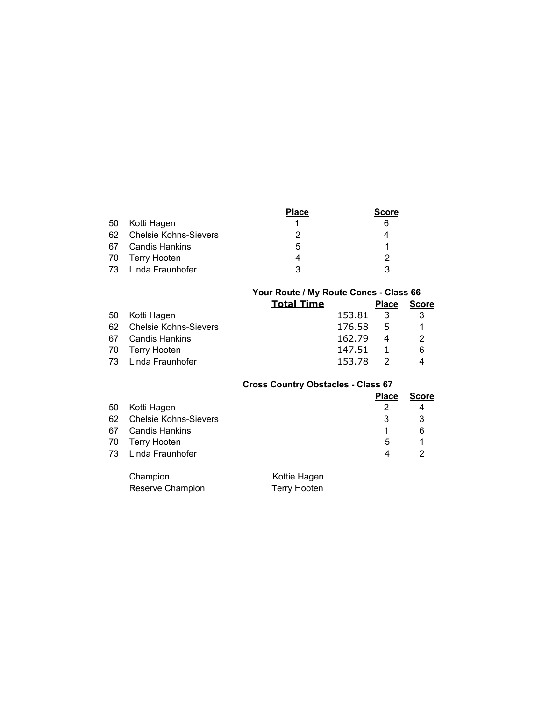|    |                          | Place | Score |
|----|--------------------------|-------|-------|
| 50 | Kotti Hagen              |       | 6     |
|    | 62 Chelsie Kohns-Sievers |       |       |
|    | 67 Candis Hankins        | 5     |       |
|    | 70 Terry Hooten          | 4     |       |
| 73 | Linda Fraunhofer         | 3     | າ     |

|    |                          | Your Route / My Route Cones - Class 66 |        |              |              |
|----|--------------------------|----------------------------------------|--------|--------------|--------------|
|    |                          | <b>Total Time</b>                      |        | <b>Place</b> | <b>Score</b> |
| 50 | Kotti Haqen              |                                        | 153.81 | -3           | 3            |
|    | 62 Chelsie Kohns-Sievers |                                        | 176.58 | $-5$         |              |
|    | 67 Candis Hankins        |                                        | 162.79 | 4            | 2            |
| 70 | Terry Hooten             |                                        | 147.51 |              | 6            |
|    | 73 Linda Fraunhofer      |                                        | 153.78 |              |              |

# **Cross Country Obstacles - Class 67**

|    |                          |              | <b>Place</b> | <b>Score</b> |
|----|--------------------------|--------------|--------------|--------------|
| 50 | Kotti Hagen              |              |              | 4            |
|    | 62 Chelsie Kohns-Sievers |              | 3            |              |
| 67 | Candis Hankins           |              |              | 6            |
|    | 70 Terry Hooten          |              | 5            |              |
|    | 73 Linda Fraunhofer      |              | 4            | 2            |
|    |                          |              |              |              |
|    | Chamnion                 | Kottie Hagen |              |              |

| Champion         | Kottie Hagen        |
|------------------|---------------------|
| Reserve Champion | <b>Terry Hooten</b> |